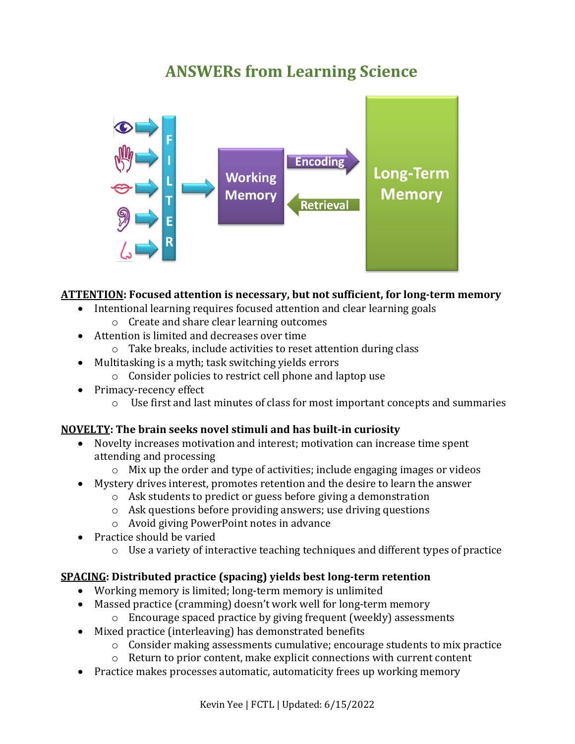# **ANSWERs from Learning Science**



# **ATTENTION: Focused attention is necessary, but not sufficient, for long-term memory**

- Intentional learning requires focused attention and clear learning goals
	- o Create and share clear learning outcomes
- Attention is limited and decreases over time
	- o Take breaks, include activities to reset attention during class
- Multitasking is a myth; task switching yields errors
	- o Consider policies to restrict cell phone and laptop use
- Primacy-recency effect
	- o Use first and last minutes of class for most important concepts and summaries

# **NOVELTY: The brain seeks novel stimuli and has built-in curiosity**

- Novelty increases motivation and interest; motivation can increase time spent attending and processing
	- o Mix up the order and type of activities; include engaging images or videos
- Mystery drives interest, promotes retention and the desire to learn the answer
	- o Ask students to predict or guess before giving a demonstration
	- o Ask questions before providing answers; use driving questions
	- o Avoid giving PowerPoint notes in advance
- Practice should be varied
	- $\circ$  Use a variety of interactive teaching techniques and different types of practice

# **SPACING: Distributed practice (spacing) yields best long-term retention**

- Working memory is limited; long-term memory is unlimited
- Massed practice (cramming) doesn't work well for long-term memory
	- o Encourage spaced practice by giving frequent (weekly) assessments
- Mixed practice (interleaving) has demonstrated benefits
	- o Consider making assessments cumulative; encourage students to mix practice
	- o Return to prior content, make explicit connections with current content
- Practice makes processes automatic, automaticity frees up working memory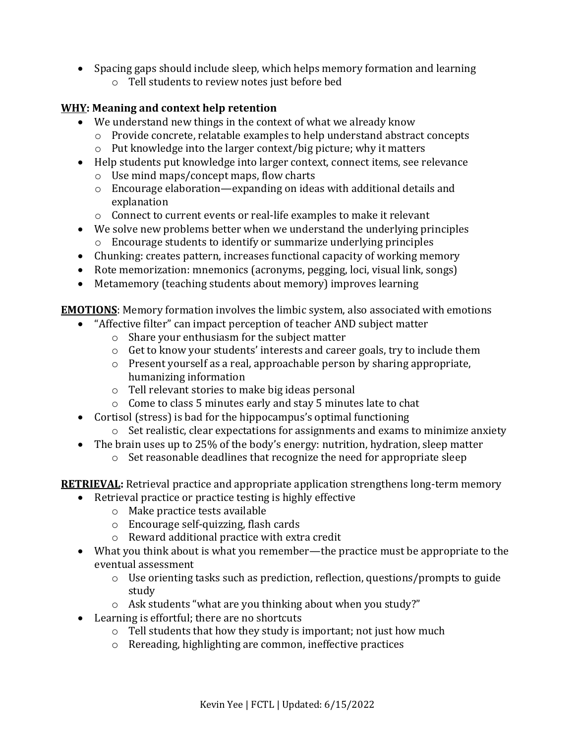• Spacing gaps should include sleep, which helps memory formation and learning o Tell students to review notes just before bed

#### **WHY: Meaning and context help retention**

- We understand new things in the context of what we already know
	- o Provide concrete, relatable examples to help understand abstract concepts
	- o Put knowledge into the larger context/big picture; why it matters
- Help students put knowledge into larger context, connect items, see relevance
	- o Use mind maps/concept maps, flow charts
	- o Encourage elaboration—expanding on ideas with additional details and explanation
	- o Connect to current events or real-life examples to make it relevant
- We solve new problems better when we understand the underlying principles o Encourage students to identify or summarize underlying principles
- Chunking: creates pattern, increases functional capacity of working memory
- Rote memorization: mnemonics (acronyms, pegging, loci, visual link, songs)
- Metamemory (teaching students about memory) improves learning

**EMOTIONS**: Memory formation involves the limbic system, also associated with emotions

- "Affective filter" can impact perception of teacher AND subject matter
	- o Share your enthusiasm for the subject matter
	- o Get to know your students' interests and career goals, try to include them
	- o Present yourself as a real, approachable person by sharing appropriate, humanizing information
	- o Tell relevant stories to make big ideas personal
	- o Come to class 5 minutes early and stay 5 minutes late to chat
- Cortisol (stress) is bad for the hippocampus's optimal functioning
	- o Set realistic, clear expectations for assignments and exams to minimize anxiety
- The brain uses up to 25% of the body's energy: nutrition, hydration, sleep matter
	- o Set reasonable deadlines that recognize the need for appropriate sleep

**RETRIEVAL:** Retrieval practice and appropriate application strengthens long-term memory

- Retrieval practice or practice testing is highly effective
	- o Make practice tests available
	- o Encourage self-quizzing, flash cards
	- o Reward additional practice with extra credit
- What you think about is what you remember—the practice must be appropriate to the eventual assessment
	- o Use orienting tasks such as prediction, reflection, questions/prompts to guide study
	- o Ask students "what are you thinking about when you study?"
- Learning is effortful; there are no shortcuts
	- o Tell students that how they study is important; not just how much
	- o Rereading, highlighting are common, ineffective practices